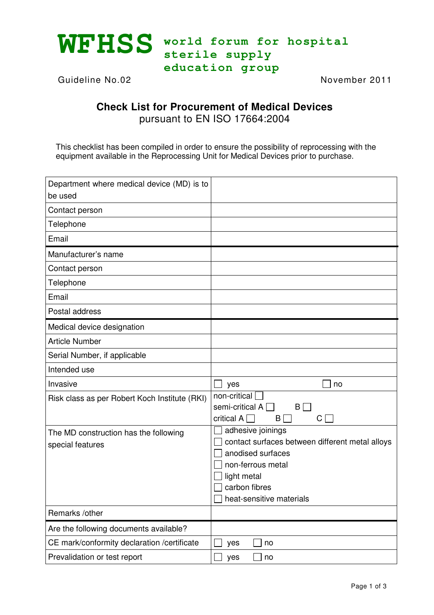

Guideline No.02 and the United States of November 2011

## **Check List for Procurement of Medical Devices**  pursuant to EN ISO 17664:2004

This checklist has been compiled in order to ensure the possibility of reprocessing with the equipment available in the Reprocessing Unit for Medical Devices prior to purchase.

| Department where medical device (MD) is to<br>be used     |                                                                                                                                                                            |
|-----------------------------------------------------------|----------------------------------------------------------------------------------------------------------------------------------------------------------------------------|
| Contact person                                            |                                                                                                                                                                            |
| Telephone                                                 |                                                                                                                                                                            |
| Email                                                     |                                                                                                                                                                            |
| Manufacturer's name                                       |                                                                                                                                                                            |
| Contact person                                            |                                                                                                                                                                            |
| Telephone                                                 |                                                                                                                                                                            |
| Email                                                     |                                                                                                                                                                            |
| Postal address                                            |                                                                                                                                                                            |
| Medical device designation                                |                                                                                                                                                                            |
| <b>Article Number</b>                                     |                                                                                                                                                                            |
| Serial Number, if applicable                              |                                                                                                                                                                            |
| Intended use                                              |                                                                                                                                                                            |
| Invasive                                                  | yes<br>no                                                                                                                                                                  |
| Risk class as per Robert Koch Institute (RKI)             | non-critical<br>semi-critical A  <br>$B \Box$                                                                                                                              |
|                                                           | critical A $\Box$<br>B<br>$C \Box$                                                                                                                                         |
| The MD construction has the following<br>special features | adhesive joinings<br>contact surfaces between different metal alloys<br>anodised surfaces<br>non-ferrous metal<br>light metal<br>carbon fibres<br>heat-sensitive materials |
| Remarks /other                                            |                                                                                                                                                                            |
| Are the following documents available?                    |                                                                                                                                                                            |
| CE mark/conformity declaration /certificate               | yes<br>no                                                                                                                                                                  |
| Prevalidation or test report                              | yes<br>no                                                                                                                                                                  |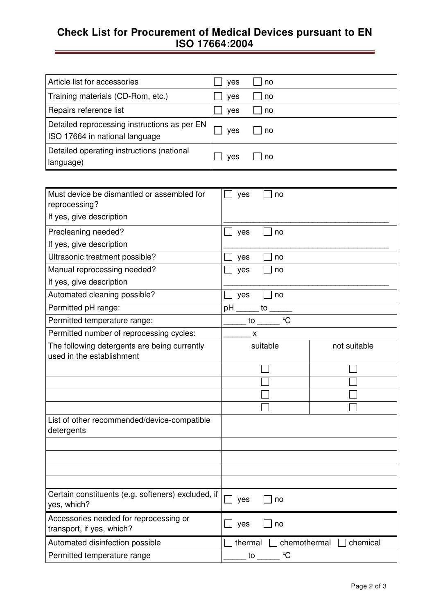## **Check List for Procurement of Medical Devices pursuant to EN ISO 17664:2004**

| Article list for accessories                                                   | ves | l no |
|--------------------------------------------------------------------------------|-----|------|
| Training materials (CD-Rom, etc.)                                              | yes | no n |
| Repairs reference list                                                         | ves | l no |
| Detailed reprocessing instructions as per EN<br>ISO 17664 in national language | ves | l no |
| Detailed operating instructions (national<br>language)                         | ves | l no |

| Must device be dismantled or assembled for<br>reprocessing?               | yes<br>no                                   |              |
|---------------------------------------------------------------------------|---------------------------------------------|--------------|
| If yes, give description                                                  |                                             |              |
| Precleaning needed?                                                       | yes<br>no                                   |              |
| If yes, give description                                                  |                                             |              |
| Ultrasonic treatment possible?                                            | no<br>yes                                   |              |
| Manual reprocessing needed?                                               | no<br>yes                                   |              |
| If yes, give description                                                  |                                             |              |
| Automated cleaning possible?                                              | yes<br>no                                   |              |
| Permitted pH range:                                                       | pH<br>to                                    |              |
| Permitted temperature range:                                              | $\mathrm{C}$<br>to $\overline{\phantom{0}}$ |              |
| Permitted number of reprocessing cycles:                                  | X                                           |              |
| The following detergents are being currently<br>used in the establishment | suitable                                    | not suitable |
|                                                                           |                                             |              |
|                                                                           |                                             |              |
|                                                                           |                                             |              |
|                                                                           |                                             |              |
| List of other recommended/device-compatible<br>detergents                 |                                             |              |
|                                                                           |                                             |              |
|                                                                           |                                             |              |
|                                                                           |                                             |              |
|                                                                           |                                             |              |
| Certain constituents (e.g. softeners) excluded, if<br>yes, which?         | yes<br>no                                   |              |
| Accessories needed for reprocessing or<br>transport, if yes, which?       | yes<br>no                                   |              |
| Automated disinfection possible                                           | thermal<br>chemothermal                     | chemical     |
| Permitted temperature range                                               | $\mathrm{C}$<br>$\mathsf{to}$               |              |